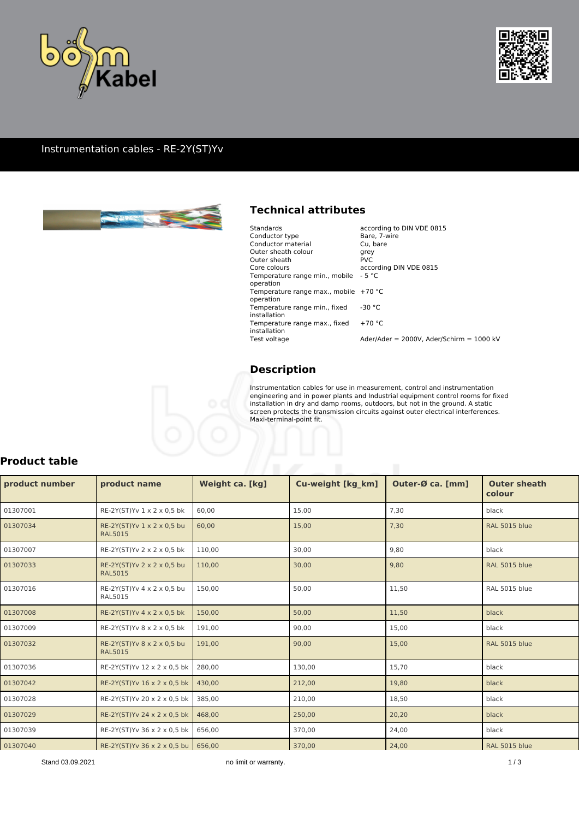



#### Instrumentation cables - RE-2Y(ST)Yv



### **Technical attributes**

| Standards                                            | according to DIN VDE 0815                  |
|------------------------------------------------------|--------------------------------------------|
| Conductor type                                       | Bare, 7-wire                               |
| Conductor material                                   | Cu. bare                                   |
| Outer sheath colour                                  | grey                                       |
| Outer sheath                                         | <b>PVC</b>                                 |
| Core colours                                         | according DIN VDE 0815                     |
| Temperature range min., mobile<br>operation          | $-5^{\circ}$ C                             |
| Temperature range max., mobile $+70$ °C<br>operation |                                            |
| Temperature range min., fixed<br>installation        | $-30 °C$                                   |
| Temperature range max., fixed<br>installation        | $+70 °C$                                   |
| Test voltage                                         | Ader/Ader = 2000V. Ader/Schirm = $1000$ kV |
|                                                      |                                            |

### **Description**

Instrumentation cables for use in measurement, control and instrumentation engineering and in power plants and Industrial equipment control rooms for fixed installation in dry and damp rooms, outdoors, but not in the ground. A static screen protects the transmission circuits against outer electrical interferences. Maxi-terminal-point fit.

| product number | product name                                 | Weight ca. [kg] | Cu-weight [kg_km] | Outer-Ø ca. [mm] | <b>Outer sheath</b><br>colour |
|----------------|----------------------------------------------|-----------------|-------------------|------------------|-------------------------------|
| 01307001       | RE-2Y(ST)Yv 1 x 2 x 0,5 bk                   | 60,00           | 15,00             | 7,30             | black                         |
| 01307034       | RE-2Y(ST)Yv 1 x 2 x 0,5 bu<br><b>RAL5015</b> | 60,00           | 15,00             | 7,30             | <b>RAL 5015 blue</b>          |
| 01307007       | RE-2Y(ST)Yv 2 x 2 x 0,5 bk                   | 110,00          | 30,00             | 9,80             | black                         |
| 01307033       | RE-2Y(ST)Yv 2 x 2 x 0,5 bu<br><b>RAL5015</b> | 110,00          | 30,00             | 9,80             | <b>RAL 5015 blue</b>          |
| 01307016       | RE-2Y(ST)Yv 4 x 2 x 0,5 bu<br><b>RAL5015</b> | 150,00          | 50,00             | 11,50            | RAL 5015 blue                 |
| 01307008       | RE-2Y(ST)Yv 4 x 2 x 0,5 bk                   | 150,00          | 50,00             | 11,50            | black                         |
| 01307009       | RE-2Y(ST)Yv 8 x 2 x 0,5 bk                   | 191,00          | 90,00             | 15,00            | black                         |
| 01307032       | RE-2Y(ST)Yv 8 x 2 x 0,5 bu<br><b>RAL5015</b> | 191,00          | 90,00             | 15,00            | <b>RAL 5015 blue</b>          |
| 01307036       | RE-2Y(ST)Yv 12 x 2 x 0,5 bk                  | 280,00          | 130,00            | 15,70            | black                         |
| 01307042       | RE-2Y(ST)Yv 16 x 2 x 0,5 bk                  | 430,00          | 212,00            | 19,80            | black                         |
| 01307028       | RE-2Y(ST)Yv 20 x 2 x 0,5 bk                  | 385,00          | 210,00            | 18,50            | black                         |
| 01307029       | RE-2Y(ST)Yv 24 x 2 x 0,5 bk                  | 468,00          | 250,00            | 20,20            | black                         |
| 01307039       | RE-2Y(ST)Yv 36 x 2 x 0,5 bk                  | 656,00          | 370,00            | 24,00            | black                         |
| 01307040       | RE-2Y(ST)Yv 36 x 2 x 0,5 bu 656,00           |                 | 370,00            | 24,00            | <b>RAL 5015 blue</b>          |

#### **Product table**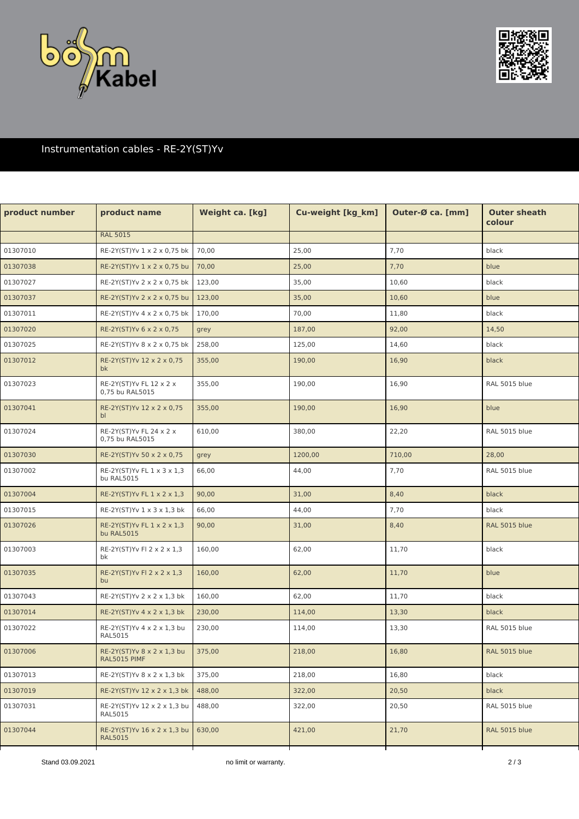



# Instrumentation cables - RE-2Y(ST)Yv

| product number | product name                                  | Weight ca. [kg] | Cu-weight [kg_km] | Outer-Ø ca. [mm] | <b>Outer sheath</b><br>colour |
|----------------|-----------------------------------------------|-----------------|-------------------|------------------|-------------------------------|
|                | <b>RAL 5015</b>                               |                 |                   |                  |                               |
| 01307010       | RE-2Y(ST)Yv 1 x 2 x 0,75 bk                   | 70,00           | 25,00             | 7,70             | black                         |
| 01307038       | RE-2Y(ST)Yv 1 x 2 x 0,75 bu                   | 70,00           | 25,00             | 7,70             | blue                          |
| 01307027       | RE-2Y(ST)Yv 2 x 2 x 0,75 bk                   | 123,00          | 35,00             | 10,60            | black                         |
| 01307037       | RE-2Y(ST)Yv 2 x 2 x 0,75 bu                   | 123,00          | 35,00             | 10,60            | blue                          |
| 01307011       | RE-2Y(ST)Yv 4 x 2 x 0,75 bk                   | 170,00          | 70,00             | 11,80            | black                         |
| 01307020       | RE-2Y(ST)Yv 6 x 2 x 0,75                      | grey            | 187,00            | 92,00            | 14,50                         |
| 01307025       | RE-2Y(ST)Yv 8 x 2 x 0,75 bk                   | 258,00          | 125,00            | 14,60            | black                         |
| 01307012       | RE-2Y(ST)Yv 12 x 2 x 0,75<br>bk               | 355,00          | 190,00            | 16,90            | black                         |
| 01307023       | RE-2Y(ST)Yv FL 12 x 2 x<br>0,75 bu RAL5015    | 355,00          | 190,00            | 16,90            | RAL 5015 blue                 |
| 01307041       | RE-2Y(ST)Yv 12 x 2 x 0,75<br>bl               | 355,00          | 190,00            | 16,90            | blue                          |
| 01307024       | RE-2Y(ST)Yv FL 24 x 2 x<br>0,75 bu RAL5015    | 610,00          | 380,00            | 22,20            | RAL 5015 blue                 |
| 01307030       | RE-2Y(ST)Yv 50 x 2 x 0,75                     | grey            | 1200,00           | 710,00           | 28,00                         |
| 01307002       | RE-2Y(ST)Yv FL 1 x 3 x 1,3<br>bu RAL5015      | 66,00           | 44,00             | 7,70             | RAL 5015 blue                 |
| 01307004       | RE-2Y(ST)Yv FL 1 x 2 x 1,3                    | 90,00           | 31,00             | 8,40             | black                         |
| 01307015       | RE-2Y(ST)Yv 1 x 3 x 1,3 bk                    | 66,00           | 44,00             | 7,70             | black                         |
| 01307026       | RE-2Y(ST)Yv FL 1 x 2 x 1,3<br>bu RAL5015      | 90,00           | 31,00             | 8,40             | RAL 5015 blue                 |
| 01307003       | RE-2Y(ST)Yv Fl 2 x 2 x 1,3<br>bk              | 160,00          | 62,00             | 11,70            | black                         |
| 01307035       | RE-2Y(ST)Yv FI 2 x 2 x 1,3<br>bu              | 160,00          | 62,00             | 11,70            | blue                          |
| 01307043       | RE-2Y(ST)Yv 2 x 2 x 1,3 bk                    | 160,00          | 62,00             | 11,70            | black                         |
| 01307014       | RE-2Y(ST)Yv 4 x 2 x 1,3 bk                    | 230,00          | 114,00            | 13,30            | black                         |
| 01307022       | RE-2Y(ST)Yv 4 x 2 x 1,3 bu<br>RAL5015         | 230,00          | 114,00            | 13,30            | RAL 5015 blue                 |
| 01307006       | RE-2Y(ST)Yv 8 x 2 x 1,3 bu<br>RAL5015 PIMF    | 375,00          | 218,00            | 16,80            | <b>RAL 5015 blue</b>          |
| 01307013       | RE-2Y(ST)Yv 8 x 2 x 1,3 bk                    | 375,00          | 218,00            | 16,80            | black                         |
| 01307019       | RE-2Y(ST)Yv 12 x 2 x 1,3 bk                   | 488,00          | 322,00            | 20,50            | black                         |
| 01307031       | RE-2Y(ST)Yv 12 x 2 x 1,3 bu<br>RAL5015        | 488,00          | 322,00            | 20,50            | RAL 5015 blue                 |
| 01307044       | RE-2Y(ST)Yv 16 x 2 x 1,3 bu<br><b>RAL5015</b> | 630,00          | 421,00            | 21,70            | RAL 5015 blue                 |
|                |                                               |                 |                   |                  |                               |